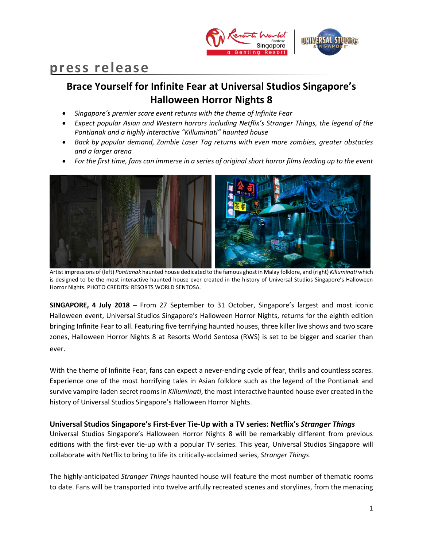

# **press release**

# **Brace Yourself for Infinite Fear at Universal Studios Singapore's Halloween Horror Nights 8**

- *Singapore's premier scare event returns with the theme of Infinite Fear*
- *Expect popular Asian and Western horrors including Netflix's Stranger Things, the legend of the Pontianak and a highly interactive "Killuminati" haunted house*
- *Back by popular demand, Zombie Laser Tag returns with even more zombies, greater obstacles and a larger arena*
- *For the first time, fans can immerse in a series of original short horror films leading up to the event*



Artist impressions of (left) *Pontianak* haunted house dedicated to the famous ghost in Malay folklore, and (right) *Killuminati* which is designed to be the most interactive haunted house ever created in the history of Universal Studios Singapore's Halloween Horror Nights. PHOTO CREDITS: RESORTS WORLD SENTOSA.

**SINGAPORE, 4 July 2018 –** From 27 September to 31 October, Singapore's largest and most iconic Halloween event, Universal Studios Singapore's Halloween Horror Nights, returns for the eighth edition bringing Infinite Fear to all. Featuring five terrifying haunted houses, three killer live shows and two scare zones, Halloween Horror Nights 8 at Resorts World Sentosa (RWS) is set to be bigger and scarier than ever.

With the theme of Infinite Fear, fans can expect a never-ending cycle of fear, thrills and countless scares. Experience one of the most horrifying tales in Asian folklore such as the legend of the Pontianak and survive vampire-laden secret rooms in *Killuminati*, the most interactive haunted house ever created in the history of Universal Studios Singapore's Halloween Horror Nights.

# **Universal Studios Singapore's First-Ever Tie-Up with a TV series: Netflix's** *Stranger Things*

Universal Studios Singapore's Halloween Horror Nights 8 will be remarkably different from previous editions with the first-ever tie-up with a popular TV series. This year, Universal Studios Singapore will collaborate with Netflix to bring to life its critically-acclaimed series, *Stranger Things*.

The highly-anticipated *Stranger Things* haunted house will feature the most number of thematic rooms to date. Fans will be transported into twelve artfully recreated scenes and storylines, from the menacing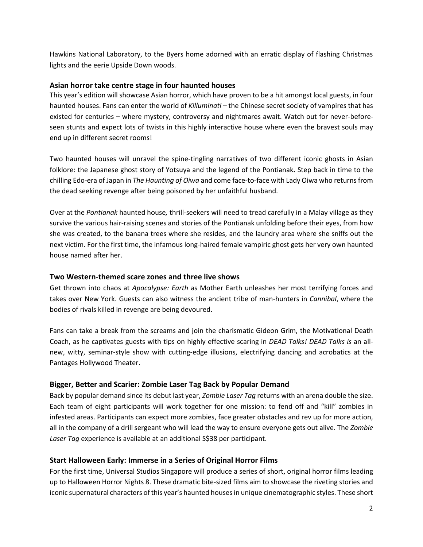Hawkins National Laboratory, to the Byers home adorned with an erratic display of flashing Christmas lights and the eerie Upside Down woods.

# **Asian horror take centre stage in four haunted houses**

This year's edition will showcase Asian horror, which have proven to be a hit amongst local guests, in four haunted houses. Fans can enter the world of *Killuminati* – the Chinese secret society of vampires that has existed for centuries – where mystery, controversy and nightmares await. Watch out for never-beforeseen stunts and expect lots of twists in this highly interactive house where even the bravest souls may end up in different secret rooms!

Two haunted houses will unravel the spine-tingling narratives of two different iconic ghosts in Asian folklore: the Japanese ghost story of Yotsuya and the legend of the Pontianak**.** Step back in time to the chilling Edo-era of Japan in *The Haunting of Oiwa* and come face-to-face with Lady Oiwa who returns from the dead seeking revenge after being poisoned by her unfaithful husband.

Over at the *Pontianak* haunted house*,* thrill-seekers will need to tread carefully in a Malay village as they survive the various hair-raising scenes and stories of the Pontianak unfolding before their eyes, from how she was created, to the banana trees where she resides, and the laundry area where she sniffs out the next victim. For the first time, the infamous long-haired female vampiric ghost gets her very own haunted house named after her.

# **Two Western-themed scare zones and three live shows**

Get thrown into chaos at *Apocalypse: Earth* as Mother Earth unleashes her most terrifying forces and takes over New York. Guests can also witness the ancient tribe of man-hunters in *Cannibal*, where the bodies of rivals killed in revenge are being devoured.

Fans can take a break from the screams and join the charismatic Gideon Grim, the Motivational Death Coach, as he captivates guests with tips on highly effective scaring in *DEAD Talks! DEAD Talks is* an allnew, witty, seminar-style show with cutting-edge illusions, electrifying dancing and acrobatics at the Pantages Hollywood Theater.

# **Bigger, Better and Scarier: Zombie Laser Tag Back by Popular Demand**

Back by popular demand since its debut last year, *Zombie Laser Tag* returns with an arena double the size. Each team of eight participants will work together for one mission: to fend off and "kill" zombies in infested areas. Participants can expect more zombies, face greater obstacles and rev up for more action, all in the company of a drill sergeant who will lead the way to ensure everyone gets out alive. The *Zombie*  Laser Tag experience is available at an additional S\$38 per participant.

# **Start Halloween Early: Immerse in a Series of Original Horror Films**

For the first time, Universal Studios Singapore will produce a series of short, original horror films leading up to Halloween Horror Nights 8. These dramatic bite-sized films aim to showcase the riveting stories and iconic supernatural characters of this year's haunted housesin unique cinematographic styles. These short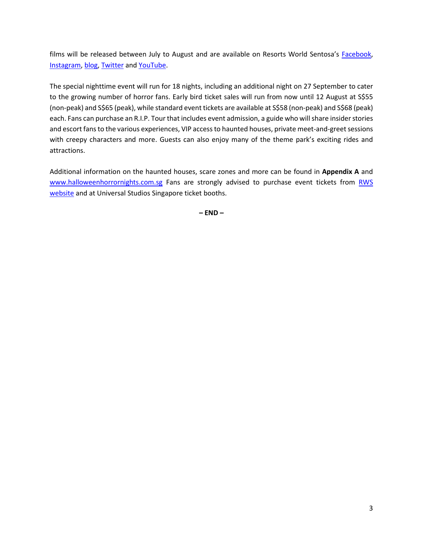films will be released between July to August and are available on Resorts World Sentosa's [Facebook,](https://www.facebook.com/ResortsWorldatSentosa/) [Instagram,](https://www.instagram.com/rwsentosa/) [blog,](http://www.rwsentosablog.com/) [Twitter](https://twitter.com/rwsentosa) and [YouTube.](https://www.youtube.com/user/rwsentosa)

The special nighttime event will run for 18 nights, including an additional night on 27 September to cater to the growing number of horror fans. Early bird ticket sales will run from now until 12 August at S\$55 (non-peak) and S\$65 (peak), while standard event tickets are available at S\$58 (non-peak) and S\$68 (peak) each. Fans can purchase an R.I.P. Tour that includes event admission, a guide who will share insider stories and escort fans to the various experiences, VIP access to haunted houses, private meet-and-greet sessions with creepy characters and more. Guests can also enjoy many of the theme park's exciting rides and attractions.

Additional information on the haunted houses, scare zones and more can be found in **Appendix A** and [www.halloweenhorrornights.com.sg](http://www.halloweenhorrornights.com.sg/) Fans are strongly advised to purchase event tickets from RWS [website](http://www.halloweenhorrornights.com.sg/) and at Universal Studios Singapore ticket booths.

**– END –**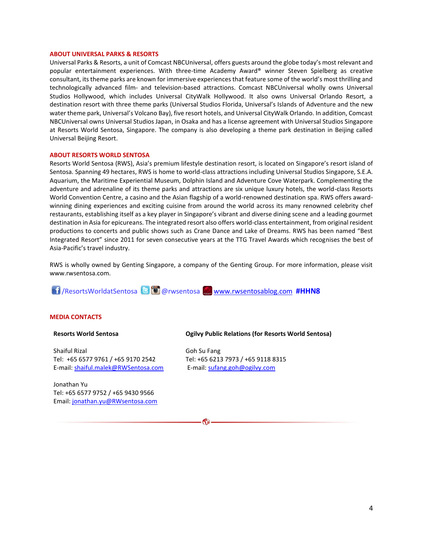#### **ABOUT UNIVERSAL PARKS & RESORTS**

Universal Parks & Resorts, a unit of Comcast NBCUniversal, offers guests around the globe today's most relevant and popular entertainment experiences. With three-time Academy Award® winner Steven Spielberg as creative consultant, its theme parks are known for immersive experiences that feature some of the world's most thrilling and technologically advanced film- and television-based attractions. Comcast NBCUniversal wholly owns Universal Studios Hollywood, which includes Universal CityWalk Hollywood. It also owns Universal Orlando Resort, a destination resort with three theme parks (Universal Studios Florida, Universal's Islands of Adventure and the new water theme park, Universal's Volcano Bay), five resort hotels, and Universal CityWalk Orlando. In addition, Comcast NBCUniversal owns Universal Studios Japan, in Osaka and has a license agreement with Universal Studios Singapore at Resorts World Sentosa, Singapore. The company is also developing a theme park destination in Beijing called Universal Beijing Resort.

#### **ABOUT RESORTS WORLD SENTOSA**

Resorts World Sentosa (RWS), Asia's premium lifestyle destination resort, is located on Singapore's resort island of Sentosa. Spanning 49 hectares, RWS is home to world-class attractions including Universal Studios Singapore, S.E.A. Aquarium, the Maritime Experiential Museum, Dolphin Island and Adventure Cove Waterpark. Complementing the adventure and adrenaline of its theme parks and attractions are six unique luxury hotels, the world-class Resorts World Convention Centre, a casino and the Asian flagship of a world-renowned destination spa. RWS offers awardwinning dining experiences and exciting cuisine from around the world across its many renowned celebrity chef restaurants, establishing itself as a key player in Singapore's vibrant and diverse dining scene and a leading gourmet destination in Asia for epicureans. The integrated resort also offers world-class entertainment, from original resident productions to concerts and public shows such as Crane Dance and Lake of Dreams. RWS has been named "Best Integrated Resort" since 2011 for seven consecutive years at the TTG Travel Awards which recognises the best of Asia-Pacific's travel industry.

RWS is wholly owned by Genting Singapore, a company of the Genting Group. For more information, please visit [www.rwsentosa.com.](http://www.rwsentosa.com/)

 $\omega$ 

/ResortsWorldatSentosa @rwsentosa [www.rwsentosablog.com](http://www.rwsentosablog.com/) **#HHN8**

#### **MEDIA CONTACTS**

#### **Resorts World Sentosa**

Shaiful Rizal Tel: +65 6577 9761 / +65 9170 2542 E-mail[: shaiful.malek@RWSentosa.com](mailto:shaiful.malek@RWSentosa.com)

Jonathan Yu Tel: +65 6577 9752 / +65 9430 9566 Email[: jonathan.yu@RWsentosa.com](file:///C:/Users/loolin.chua/AppData/Local/Microsoft/Windows/Temporary%20Internet%20Files/Content.Outlook/KPF1T9X7/jonathan.yu@RWsentosa.com)

#### **Ogilvy Public Relations (for Resorts World Sentosa)**

Goh Su Fang Tel: +65 6213 7973 / +65 9118 8315 E-mail: [sufang.goh@ogilvy.com](mailto:sufang.goh@ogilvy.com)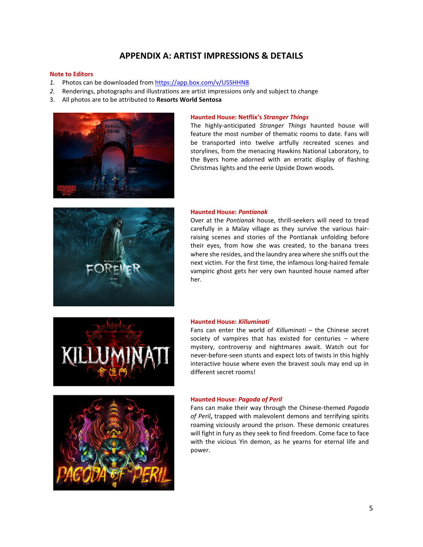# **APPENDIX A: ARTIST IMPRESSIONS & DETAILS**

#### **Note to Editors**

- *1.* Photos can be downloaded fro[m https://app.box.com/v/USSHHN8](https://app.box.com/v/USSHHN8)
- *2.* Renderings, photographs and illustrations are artist impressions only and subject to change
- 3. All photos are to be attributed to **Resorts World Sentosa**



#### **Haunted House: Netflix's** *Stranger Things*

The highly-anticipated *Stranger Things* haunted house will feature the most number of thematic rooms to date. Fans will be transported into twelve artfully recreated scenes and storylines, from the menacing Hawkins National Laboratory, to the Byers home adorned with an erratic display of flashing Christmas lights and the eerie Upside Down woods.



#### **Haunted House:** *Pontianak*

Over at the *Pontianak* house, thrill-seekers will need to tread carefully in a Malay village as they survive the various hairraising scenes and stories of the Pontianak unfolding before their eyes, from how she was created, to the banana trees where she resides, and the laundry area where she sniffs out the next victim. For the first time, the infamous long-haired female vampiric ghost gets her very own haunted house named after her.



#### **Haunted House:** *Killuminati*

Fans can enter the world of *Killuminati* – the Chinese secret society of vampires that has existed for centuries – where mystery, controversy and nightmares await. Watch out for never-before-seen stunts and expect lots of twists in this highly interactive house where even the bravest souls may end up in different secret rooms!



#### **Haunted House:** *Pagoda of Peril*

Fans can make their way through the Chinese-themed *Pagoda of Peril***,** trapped with malevolent demons and terrifying spirits roaming viciously around the prison. These demonic creatures will fight in fury as they seek to find freedom. Come face to face with the vicious Yin demon, as he yearns for eternal life and power.